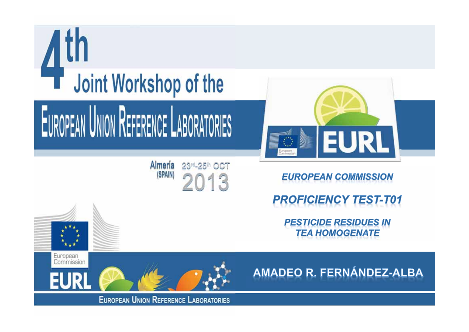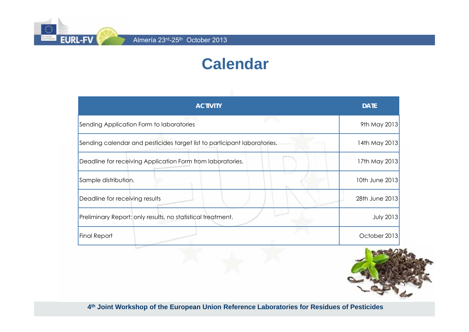**EURL-FV** 

# **Calendar**

| <b>ACTIVITY</b>                                                          | <b>DATE</b>      |
|--------------------------------------------------------------------------|------------------|
| Sending Application Form to laboratories                                 | 9th May 2013     |
| Sending calendar and pesticides target list to participant laboratories. | 14th May 2013    |
| Deadline for receiving Application Form from laboratories.               | 17th May 2013    |
| Sample distribution.                                                     | 10th June 2013   |
| Deadline for receiving results                                           | 28th June 2013   |
| Preliminary Report: only results, no statistical treatment.              | <b>July 2013</b> |
| <b>Final Report</b>                                                      | October 2013     |
|                                                                          |                  |

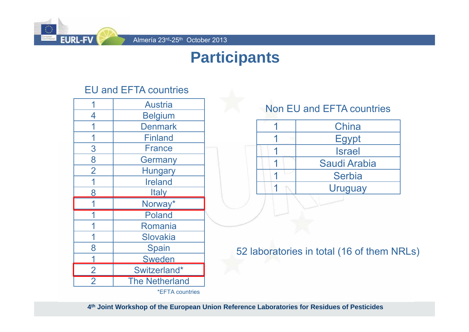

## **Participants**

### EU and EFTA countries

|                | <b>Austria</b>        |  |
|----------------|-----------------------|--|
| 4              | <b>Belgium</b>        |  |
|                | <b>Denmark</b>        |  |
|                | <b>Finland</b>        |  |
| 3              | <b>France</b>         |  |
| 8              | Germany               |  |
| $\overline{2}$ | Hungary               |  |
|                | <b>Ireland</b>        |  |
| 8              | <b>Italy</b>          |  |
|                | Norway*               |  |
|                | <b>Poland</b>         |  |
|                | Romania               |  |
|                | Slovakia              |  |
| 8              | <b>Spain</b>          |  |
|                | <b>Sweden</b>         |  |
| $\overline{2}$ | Switzerland*          |  |
| $\overline{2}$ | <b>The Netherland</b> |  |
|                | *EFTA countries       |  |

### Non EU and EFTA countries



52 laboratories in total (16 of them NRLs)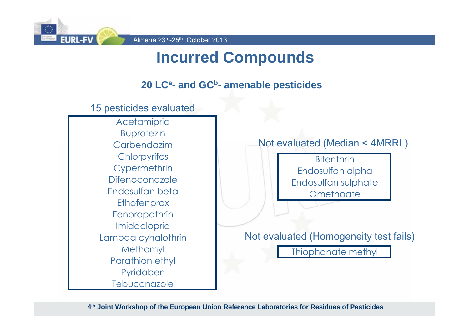

# **Incurred Compounds**

### **20 LCa- and GCb- amenable pesticides**

15 pesticides evaluated

**Acetamiprid** Buprofezin Carbendazim**Chlorpyrifos Cypermethrin** DifenoconazoleEndosulfan beta**Ethofenprox Fenpropathrin** Imidacloprid Lambda cyhalothrin Methomyl Parathion ethyl Pyridaben Tebuconazole

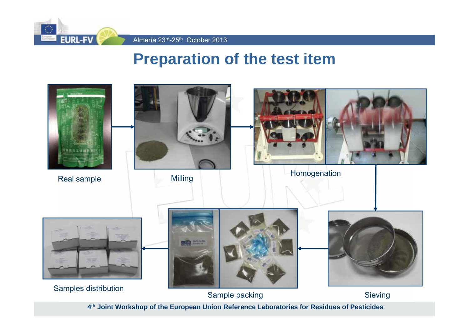

Almería 23<sup>rd</sup>-25<sup>th</sup> October 2013

## **Preparation of the test item**

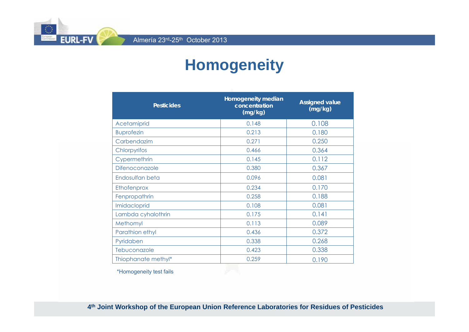Almería 23<sup>rd</sup>-25<sup>th</sup> October 2013

**EURL-FV** 

# **Homogeneity**

| <b>Pesticides</b>     | Homogeneity median<br>concentration<br>(mg/kg) | <b>Assigned value</b><br>(mg/kg) |
|-----------------------|------------------------------------------------|----------------------------------|
| Acetamiprid           | 0.148                                          | 0.108                            |
| <b>Buprofezin</b>     | 0.213                                          | 0.180                            |
| Carbendazim           | 0.271                                          | 0.250                            |
| Chlorpyrifos          | 0.466                                          | 0.364                            |
| Cypermethrin          | 0.145                                          | 0.112                            |
| <b>Difenoconazole</b> | 0.380                                          | 0.367                            |
| Endosulfan beta       | 0.096                                          | 0.081                            |
| Ethofenprox           | 0.234                                          | 0.170                            |
| Fenpropathrin         | 0.258                                          | 0.188                            |
| Imidacloprid          | 0.108                                          | 0.081                            |
| Lambda cyhalothrin    | 0.175                                          | 0.141                            |
| Methomyl              | 0.113                                          | 0.089                            |
| Parathion ethyl       | 0.436                                          | 0.372                            |
| Pyridaben             | 0.338                                          | 0.268                            |
| Tebuconazole          | 0.423                                          | 0.338                            |
| Thiophanate methyl*   | 0.259                                          | 0.190                            |

\*Homogeneity test fails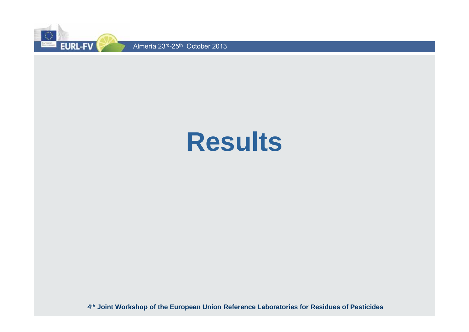

# **Results**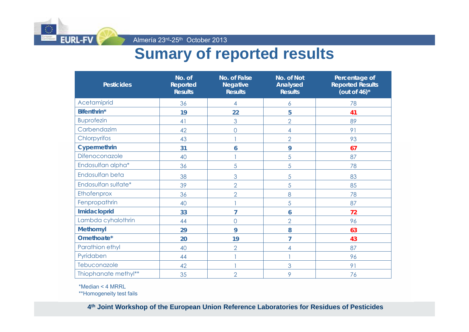

Almería 23rd-25th October 2013

# **Sumary of reported results**

| <b>Pesticides</b>    | No. of<br><b>Reported</b><br><b>Results</b> | No. of False<br><b>Negative</b><br><b>Results</b> | No. of Not<br>Analysed<br><b>Results</b> | Percentage of<br><b>Reported Results</b><br>(out of $46$ )* |
|----------------------|---------------------------------------------|---------------------------------------------------|------------------------------------------|-------------------------------------------------------------|
| Acetamiprid          | 36                                          | 4                                                 | 6                                        | 78                                                          |
| Bifenthrin*          | 19                                          | 22                                                | 5                                        | 41                                                          |
| <b>Buprofezin</b>    | 41                                          | 3                                                 | $\overline{2}$                           | 89                                                          |
| Carbendazim          | 42                                          | 0                                                 | 4                                        | 91                                                          |
| Chlorpyrifos         | 43                                          |                                                   | $\overline{2}$                           | 93                                                          |
| Cypermethrin         | 31                                          | 6                                                 | 9                                        | 67                                                          |
| Difenoconazole       | 40                                          |                                                   | 5                                        | 87                                                          |
| Endosulfan alpha*    | 36                                          | 5                                                 | 5                                        | 78                                                          |
| Endosulfan beta      | 38                                          | 3                                                 | 5                                        | 83                                                          |
| Endosulfan sulfate*  | 39                                          | $\overline{2}$                                    | 5                                        | 85                                                          |
| Ethofenprox          | 36                                          | $\overline{2}$                                    | 8                                        | 78                                                          |
| Fenpropathrin        | 40                                          |                                                   | 5                                        | 87                                                          |
| Imidacloprid         | 33                                          | 7                                                 | 6                                        | 72                                                          |
| Lambda cyhalothrin   | 44                                          | $\overline{O}$                                    | $\overline{2}$                           | 96                                                          |
| <b>Methomyl</b>      | 29                                          | 9                                                 | 8                                        | 63                                                          |
| Omethoate*           | 20                                          | 19                                                | 7                                        | 43                                                          |
| Parathion ethyl      | 40                                          | $\overline{2}$                                    | 4                                        | 87                                                          |
| Pyridaben            | 44                                          |                                                   |                                          | 96                                                          |
| Tebuconazole         | 42                                          |                                                   | 3                                        | 91                                                          |
| Thiophanate methyl** | 35                                          | $\overline{2}$                                    | 9                                        | 76                                                          |

\*Median < 4 MRRL

\*\*Homogeneity test fails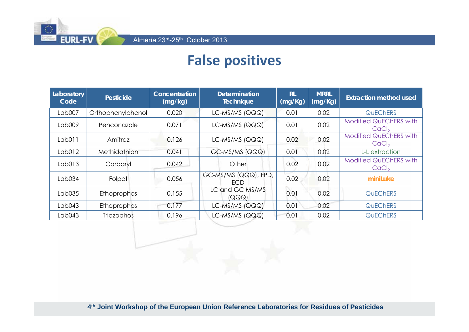

## **False positives**

| Laboratory<br>Code | <b>Pesticide</b>   | Concentration<br><b>Determination</b><br><b>Technique</b><br>(mg/kg) |                             | <b>RL</b><br>(mg/Kg) | <b>MRRL</b><br>(mg/Kg) | <b>Extraction method used</b>                      |
|--------------------|--------------------|----------------------------------------------------------------------|-----------------------------|----------------------|------------------------|----------------------------------------------------|
| Lab007             | Orthophenylphenol  | 0.020                                                                | LC-MS/MS (QQQ)              | 0.01                 | 0.02                   | <b>QUECHERS</b>                                    |
| Lab009             | Penconazole        | 0.071                                                                | $LC-MS/MS$ (QQQ)            | 0.01                 | 0.02                   | <b>Modified QuEChERS with</b><br>CaCl <sub>2</sub> |
| Lab011             | Amitraz            | 0.126                                                                | $LC$ -MS/MS (QQQ)           | 0.02                 | 0.02                   | <b>Modified QuEChERS with</b><br>CaCl <sub>2</sub> |
| Lab012             | Methidathion       | 0.041                                                                | GC-MS/MS (QQQ)              | 0.01                 | 0.02                   | L-L extraction                                     |
| Lab013             | Carbaryl           | 0.042                                                                | Other                       | 0.02                 | 0.02                   | <b>Modified QuEChERS with</b><br>CaCl <sub>2</sub> |
| Lab034             | Folpet             | 0.056                                                                | GC-MS/MS (QQQ), FPD,<br>ECD | 0.02                 | 0.02                   | miniLuke                                           |
| Lab035             | Ethoprophos        | 0.155                                                                | LC and GC MS/MS<br>(QQQ)    | 0.01                 | 0.02                   | <b>QUECHERS</b>                                    |
| $L$ ab043          | <b>Ethoprophos</b> | 0.177                                                                | $LC-MS/MS$ (QQQ)            | 0.01                 | 0.02                   | <b>QUECHERS</b>                                    |
| Lab043             | Triazophos         | 0.196                                                                | $LC-MS/MS$ (QQQ)            | 0.01                 | 0.02                   | <b>QUECHERS</b>                                    |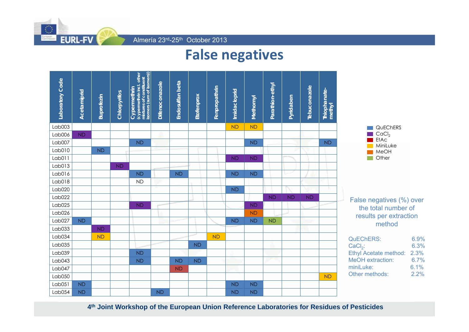

Almería 23<sup>rd</sup>-25<sup>th</sup> October 2013

### **False negatives**

| Laboratory Code | Acetamiprid | Buprofezin | Chlorpyrifos | mixtures of constituent<br>isomers (sum of isomers))<br>(cypermethrin incl. other<br>Cypermethrin | Difenoconazole | Endosulfan beta | Etofenprox | Fenpropathrin | Imidacloprid | Methomyl  | Parathion-ethyl | Pyridaben | Tebuconazole | Thiophanate-<br>methyl |                                  |              |
|-----------------|-------------|------------|--------------|---------------------------------------------------------------------------------------------------|----------------|-----------------|------------|---------------|--------------|-----------|-----------------|-----------|--------------|------------------------|----------------------------------|--------------|
| Lab003          |             |            |              |                                                                                                   |                |                 |            |               | <b>ND</b>    | <b>ND</b> |                 |           |              |                        | QUEChERS                         |              |
| Lab006          | <b>ND</b>   |            |              |                                                                                                   |                |                 |            |               |              |           |                 |           |              |                        | CaCl <sub>2</sub><br><b>EtAc</b> |              |
| Lab007          |             |            |              | <b>ND</b>                                                                                         |                |                 |            |               |              | <b>ND</b> |                 |           |              | <b>ND</b>              | MiniLuke                         |              |
| Lab010          |             | <b>ND</b>  |              |                                                                                                   |                |                 |            |               |              |           |                 |           |              |                        | MeOH                             |              |
| Lab011          |             |            |              |                                                                                                   |                |                 |            |               | <b>ND</b>    | <b>ND</b> |                 |           |              |                        | Other                            |              |
| Lab013          |             |            | <b>ND</b>    |                                                                                                   |                |                 |            |               |              |           |                 |           |              |                        |                                  |              |
| Lab016          |             |            |              | <b>ND</b>                                                                                         |                | <b>ND</b>       |            |               | <b>ND</b>    | <b>ND</b> |                 | مستنباتها |              |                        |                                  |              |
| Lab018          |             |            |              | <b>ND</b>                                                                                         |                |                 |            |               |              |           |                 |           |              |                        |                                  |              |
| Lab020          |             |            |              |                                                                                                   |                |                 |            |               | <b>ND</b>    |           |                 |           |              |                        |                                  |              |
| Lab022          |             |            |              |                                                                                                   |                |                 |            |               |              |           | <b>ND</b>       | <b>ND</b> | <b>ND</b>    |                        | False negatives (%) over         |              |
| Lab025          |             |            |              | <b>ND</b>                                                                                         |                |                 |            |               |              | <b>ND</b> |                 |           |              |                        | the total number of              |              |
| Lab026          |             |            |              |                                                                                                   |                |                 |            |               |              | <b>ND</b> |                 |           |              |                        | results per extraction           |              |
| Lab027          | <b>ND</b>   |            |              |                                                                                                   |                |                 |            |               | <b>ND</b>    | <b>ND</b> | <b>ND</b>       |           |              |                        | method                           |              |
| Lab033          |             | <b>ND</b>  |              |                                                                                                   |                |                 |            |               |              |           |                 |           |              |                        |                                  |              |
| Lab034          |             | <b>ND</b>  |              |                                                                                                   |                |                 |            | <b>ND</b>     |              |           |                 |           |              |                        | <b>QuEChERS:</b>                 | 6.9%         |
| Lab035          |             |            |              |                                                                                                   |                |                 | <b>ND</b>  |               |              |           |                 |           |              |                        | $CaCl2$ :                        | 6.3%         |
| Lab039          |             |            |              | <b>ND</b>                                                                                         |                |                 |            |               |              |           |                 |           |              |                        | Ethyl Acetate method:            | 2.3%         |
| $L$ ab043       |             |            |              | <b>ND</b>                                                                                         |                | <b>ND</b>       | <b>ND</b>  |               |              |           |                 |           |              |                        | MeOH extraction:                 | 6.7%         |
| $L$ ab047       |             |            |              |                                                                                                   |                | <b>ND</b>       |            |               |              |           |                 |           |              |                        | miniLuke:<br>Other methods:      | 6.1%<br>2.2% |
| Lab050          |             |            |              |                                                                                                   |                |                 |            |               |              |           |                 |           |              | <b>ND</b>              |                                  |              |
| Lab051          | <b>ND</b>   |            |              |                                                                                                   |                |                 |            |               | <b>ND</b>    | <b>ND</b> |                 |           |              |                        |                                  |              |
| Lab054          | <b>ND</b>   |            |              |                                                                                                   | <b>ND</b>      |                 |            |               | <b>ND</b>    | <b>ND</b> |                 |           |              |                        |                                  |              |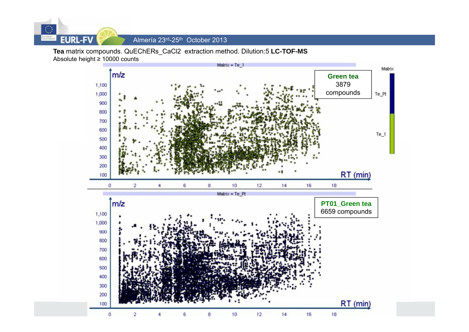

Almería 23<sup>rd</sup>-25<sup>th</sup> October 2013

**Tea** matrix compounds. QuEChERs\_CaCl2 extraction method. Dilution:5 **LC-TOF-MS** Absolute height ≥ 10000 counts

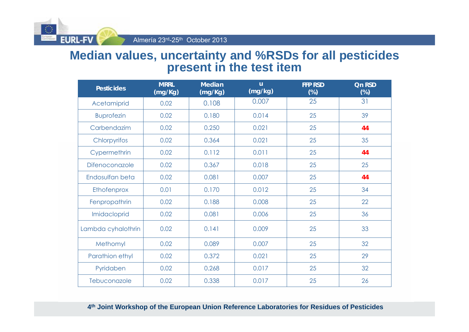

### **Median values, uncertainty and %RSDs for all pesticides present in the test item**

| <b>Pesticides</b>  | <b>MRRL</b><br>(mg/Kg) | <b>Median</b><br>(mg/Kg) | $\mathsf{u}$<br>(mg/kg) | <b>FFP RSD</b><br>$(\%)$ | <b>Qn RSD</b><br>$(\%)$ |
|--------------------|------------------------|--------------------------|-------------------------|--------------------------|-------------------------|
| Acetamiprid        | 0.02                   | 0.108                    | 0.007                   | 25                       | 31                      |
| <b>Buprofezin</b>  | 0.02                   | 0.180                    | 0.014                   | 25                       | 39                      |
| Carbendazim        | 0.02                   | 0.250                    | 0.021                   | 25                       | 44                      |
| Chlorpyrifos       | 0.02                   | 0.364                    | 0.021                   | 25                       | 35                      |
| Cypermethrin       | 0.02                   | 0.112                    | 0.011                   | 25                       | 44                      |
| Difenoconazole     | 0.02                   | 0.367                    | 0.018                   | 25                       | 25                      |
| Endosulfan beta    | 0.02                   | 0.081                    | 0.007                   | 25                       | 44                      |
| Ethofenprox        | 0.01                   | 0.170                    | 0.012                   | 25                       | 34                      |
| Fenpropathrin      | 0.02                   | 0.188                    | 0.008                   | 25                       | 22                      |
| Imidacloprid       | 0.02                   | 0.081                    | 0.006                   | 25                       | 36                      |
| Lambda cyhalothrin | 0.02                   | 0.141                    | 0.009                   | 25                       | 33                      |
| Methomyl           | 0.02                   | 0.089                    | 0.007                   | 25                       | 32                      |
| Parathion ethyl    | 0.02                   | 0.372                    | 0.021                   | 25                       | 29                      |
| Pyridaben          | 0.02                   | 0.268                    | 0.017                   | 25                       | 32                      |
| Tebuconazole       | 0.02                   | 0.338                    | 0.017                   | 25                       | 26                      |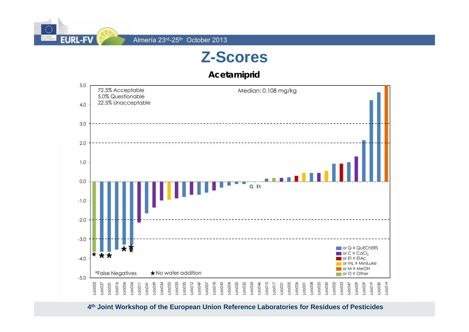

**Acetamiprid**

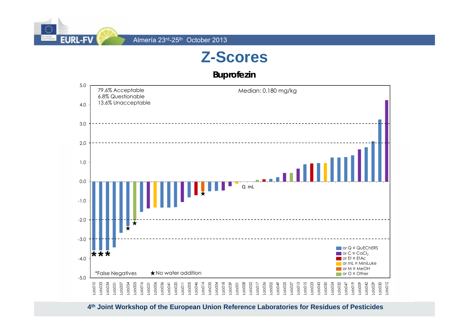

#### **Buprofezin**

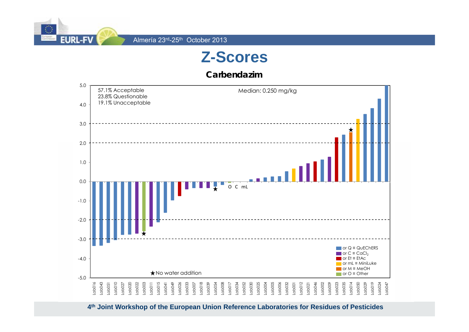

**Carbendazim**

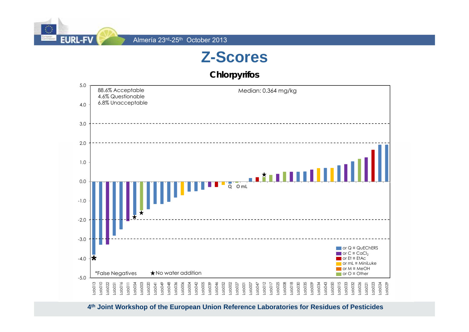

**Chlorpyrifos**

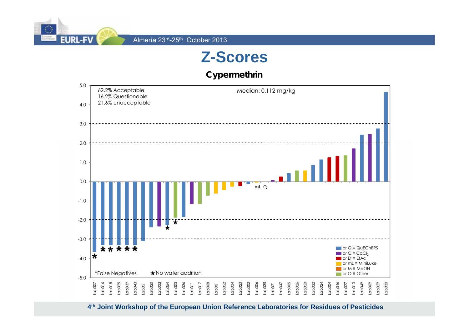

**Cypermethrin**

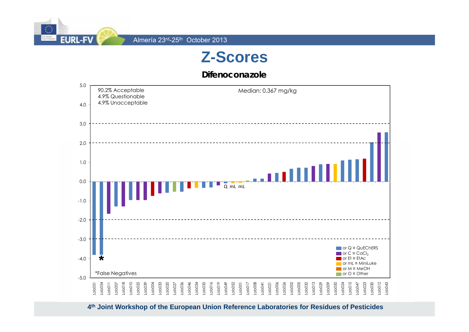

**Difenoconazole**

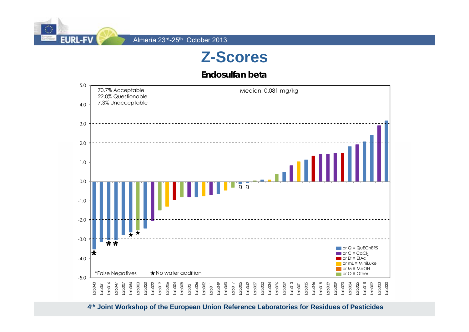

**Endosulfan beta**

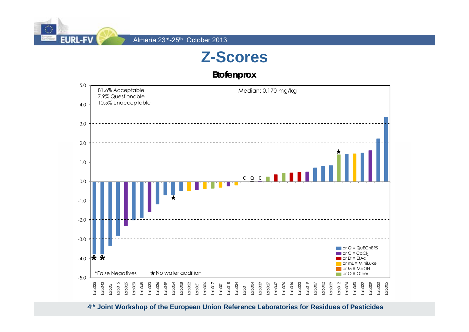

**Etofenprox**

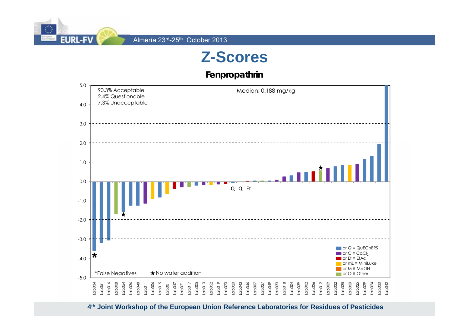

**Fenpropathrin**

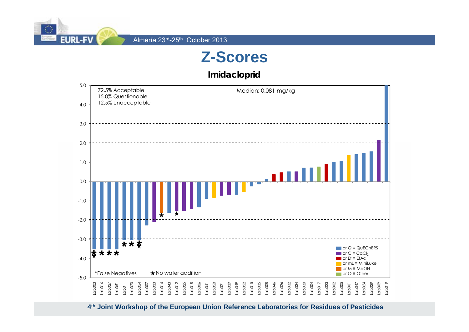

**Imidacloprid**

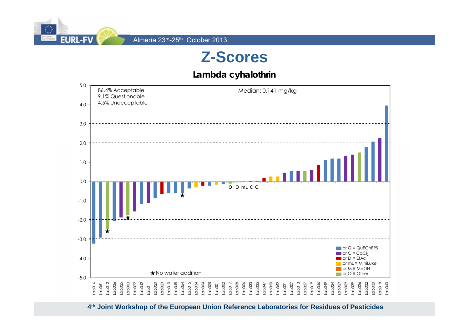

#### **Lambda cyhalothrin**

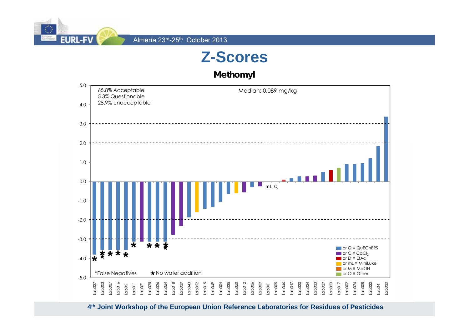

**Methomyl**

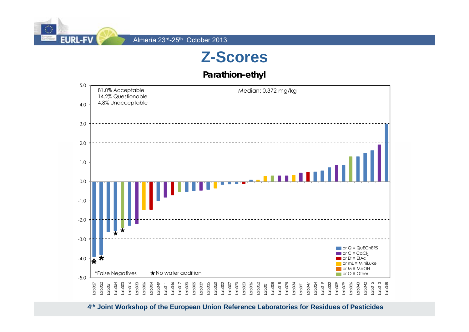

**Parathion-ethyl**

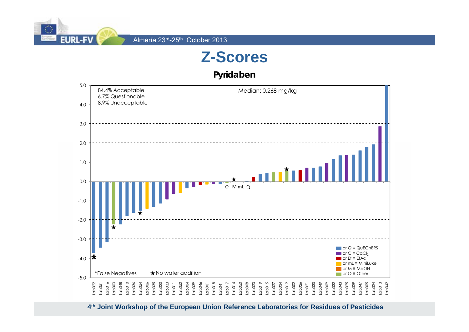

**Pyridaben**

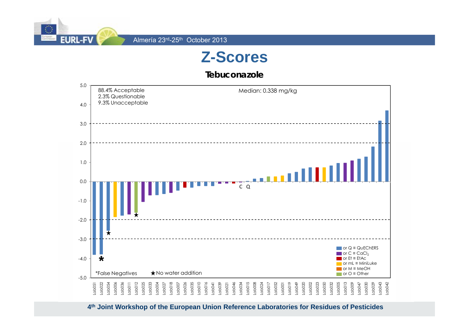

**Tebuconazole**

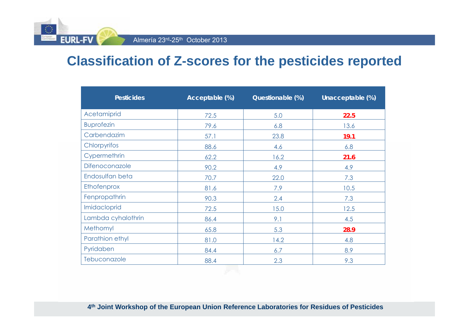Almería 23rd-25th October 2013

**EURL-FY** 

### **Classification of Z-scores for the pesticides reported**

| <b>Pesticides</b>  | Acceptable (%) | Questionable (%) | Unacceptable (%) |
|--------------------|----------------|------------------|------------------|
| Acetamiprid        | 72.5           | 5.0              | 22.5             |
| <b>Buprofezin</b>  | 79.6           | 6.8              | 13.6             |
| Carbendazim        | 57.1           | 23.8             | 19.1             |
| Chlorpyrifos       | 88.6           | 4.6              | 6.8              |
| Cypermethrin       | 62.2           | 16.2             | 21.6             |
| Difenoconazole     | 90.2           | 4.9              | 4.9              |
| Endosulfan beta    | 70.7           | 22.0             | 7.3              |
| Ethofenprox        | 81.6           | 7.9              | 10.5             |
| Fenpropathrin      | 90.3           | 2.4              | 7.3              |
| Imidacloprid       | 72.5           | 15.0             | 12.5             |
| Lambda cyhalothrin | 86.4           | 9.1              | 4.5              |
| Methomyl           | 65.8           | 5.3              | 28.9             |
| Parathion ethyl    | 81.0           | 14.2             | 4.8              |
| Pyridaben          | 84.4           | 6.7              | 8.9              |
| Tebuconazole       | 88.4           | 2.3              | 9.3              |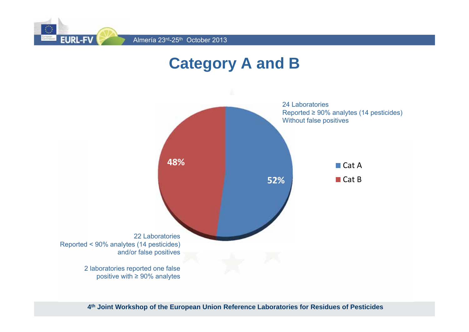

# **Category A and B**

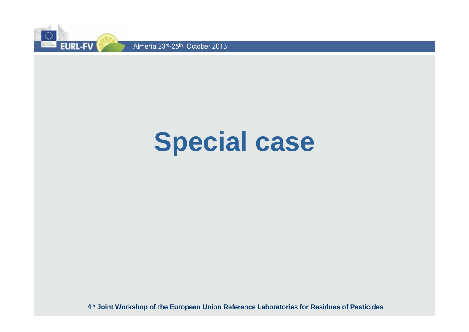

# **Special case**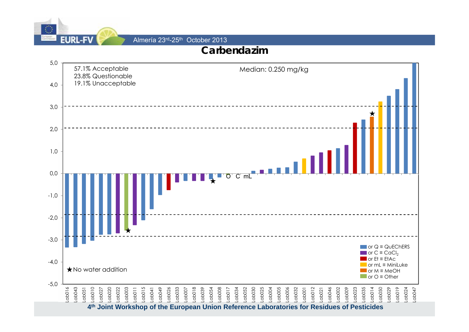

Almería 23rd-25th October 2013

### **Carbendazim**

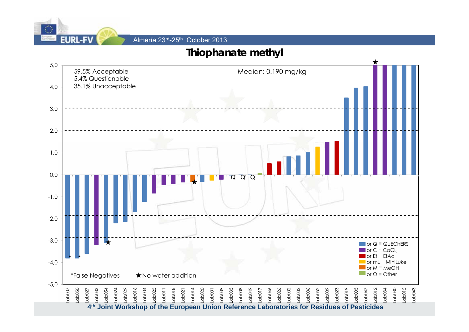

Almería 23rd-25th October 2013

### **Thiophanate methyl**

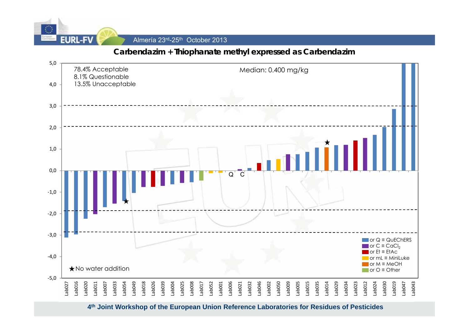

#### **Carbendazim + Thiophanate methyl expressed as Carbendazim**

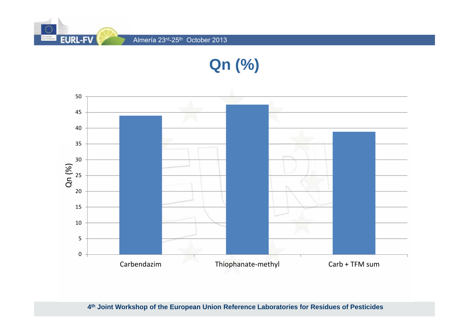

**Qn (%)**

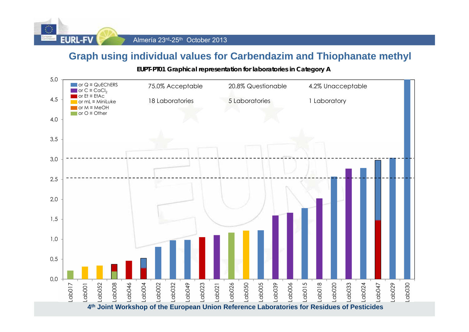

### **Graph using individual values for Carbendazim and Thiophanate methyl**

**EUPT-PT01 Graphical representation for laboratories in Category A**

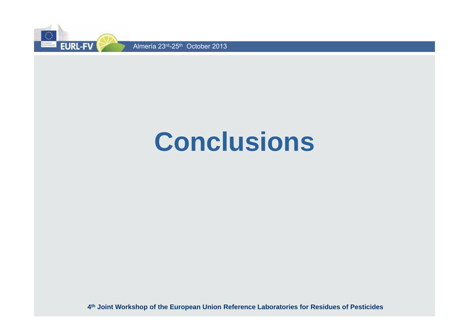

# **Conclusions**